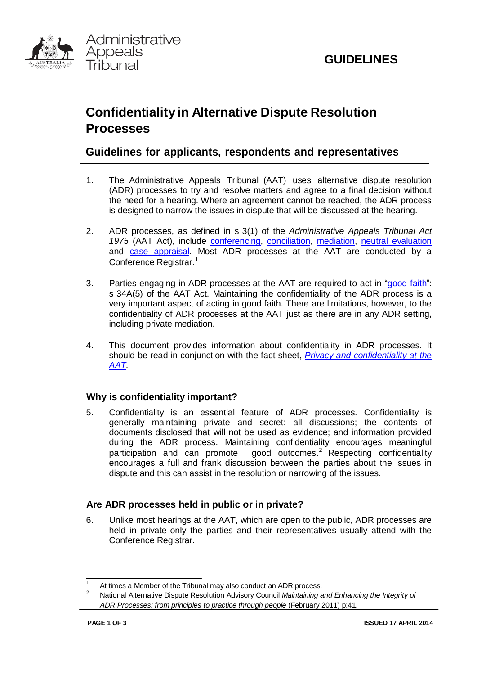



# **Confidentiality in Alternative Dispute Resolution Processes**

# **Guidelines for applicants, respondents and representatives**

- 1. The Administrative Appeals Tribunal (AAT) uses alternative dispute resolution (ADR) processes to try and resolve matters and agree to a final decision without the need for a hearing. Where an agreement cannot be reached, the ADR process is designed to narrow the issues in dispute that will be discussed at the hearing.
- 2. ADR processes, as defined in s 3(1) of the *Administrative Appeals Tribunal Act 1975* (AAT Act), include [conferencing,](http://www.aat.gov.au/LawAndPractice/AlternativeDisputeResolution/ConferenceProcessModel.htm) [conciliation,](http://www.aat.gov.au/LawAndPractice/AlternativeDisputeResolution/ConciliationProcessModel.htm) [mediation,](http://www.aat.gov.au/LawAndPractice/AlternativeDisputeResolution/MediationProcessModel.htm) neutral [evaluation](http://www.aat.gov.au/LawAndPractice/AlternativeDisputeResolution/NeutralEvaluationProcessModel.htm) and case [appraisal.](http://www.aat.gov.au/LawAndPractice/AlternativeDisputeResolution/CaseAppraisalProcessModel.htm) Most ADR processes at the AAT are conducted by a Conference Registrar. [1](#page-0-0)
- 3. Parties engaging in ADR processes at the AAT are required to act in ["good](http://www.aat.gov.au/steps-in-a-review/alternative-dispute-resolution/the-duty-to-act-in-good-faith-in-adr-processes-at) faith": s 34A(5) of the AAT Act. Maintaining the confidentiality of the ADR process is a very important aspect of acting in good faith. There are limitations, however, to the confidentiality of ADR processes at the AAT just as there are in any ADR setting, including private mediation.
- 4. This document provides information about confidentiality in ADR processes. It should be read in conjunction with the fact sheet, *Privacy and [confidentiality](http://www.aat.gov.au/steps-in-a-review/overview-of-the-review-process/privacy-and-confidentiality-at-the-aat) at the [AAT.](http://www.aat.gov.au/Publications/BrochuresAndFactsheets.htm)*

# **Why is confidentiality important?**

5. Confidentiality is an essential feature of ADR processes. Confidentiality is generally maintaining private and secret: all discussions; the contents of documents disclosed that will not be used as evidence; and information provided during the ADR process. Maintaining confidentiality encourages meaningful participation and can promote good outcomes.<sup>[2](#page-0-1)</sup> Respecting confidentiality encourages a full and frank discussion between the parties about the issues in dispute and this can assist in the resolution or narrowing of the issues.

## **Are ADR processes held in public or in private?**

6. Unlike most hearings at the AAT, which are open to the public, ADR processes are held in private only the parties and their representatives usually attend with the Conference Registrar.

<span id="page-0-0"></span>At times a Member of the Tribunal may also conduct an ADR process.

<span id="page-0-1"></span><sup>2</sup> National Alternative Dispute Resolution Advisory Council *Maintaining and Enhancing the Integrity of ADR Processes: from principles to practice through people* (February 2011) p:41.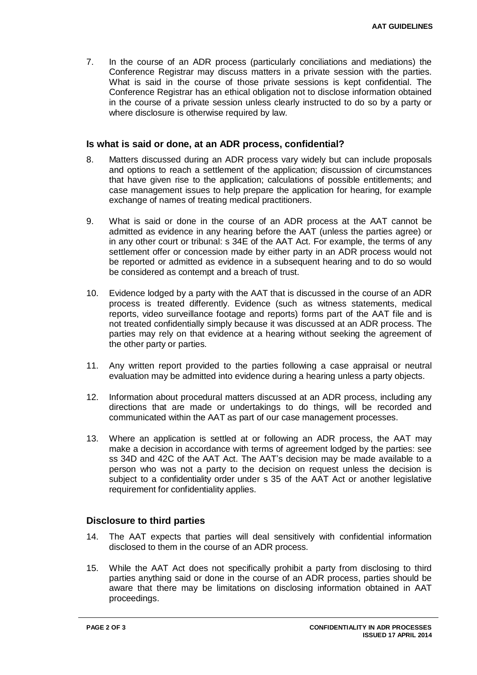7. In the course of an ADR process (particularly conciliations and mediations) the Conference Registrar may discuss matters in a private session with the parties. What is said in the course of those private sessions is kept confidential. The Conference Registrar has an ethical obligation not to disclose information obtained in the course of a private session unless clearly instructed to do so by a party or where disclosure is otherwise required by law.

### **Is what is said or done, at an ADR process, confidential?**

- 8. Matters discussed during an ADR process vary widely but can include proposals and options to reach a settlement of the application; discussion of circumstances that have given rise to the application; calculations of possible entitlements; and case management issues to help prepare the application for hearing, for example exchange of names of treating medical practitioners.
- 9. What is said or done in the course of an ADR process at the AAT cannot be admitted as evidence in any hearing before the AAT (unless the parties agree) or in any other court or tribunal: s 34E of the AAT Act. For example, the terms of any settlement offer or concession made by either party in an ADR process would not be reported or admitted as evidence in a subsequent hearing and to do so would be considered as contempt and a breach of trust.
- 10. Evidence lodged by a party with the AAT that is discussed in the course of an ADR process is treated differently. Evidence (such as witness statements, medical reports, video surveillance footage and reports) forms part of the AAT file and is not treated confidentially simply because it was discussed at an ADR process. The parties may rely on that evidence at a hearing without seeking the agreement of the other party or parties.
- 11. Any written report provided to the parties following a case appraisal or neutral evaluation may be admitted into evidence during a hearing unless a party objects.
- 12. Information about procedural matters discussed at an ADR process, including any directions that are made or undertakings to do things, will be recorded and communicated within the AAT as part of our case management processes.
- 13. Where an application is settled at or following an ADR process, the AAT may make a decision in accordance with terms of agreement lodged by the parties: see ss 34D and 42C of the AAT Act. The AAT's decision may be made available to a person who was not a party to the decision on request unless the decision is subject to a confidentiality order under s 35 of the AAT Act or another legislative requirement for confidentiality applies.

#### **Disclosure to third parties**

- 14. The AAT expects that parties will deal sensitively with confidential information disclosed to them in the course of an ADR process.
- 15. While the AAT Act does not specifically prohibit a party from disclosing to third parties anything said or done in the course of an ADR process, parties should be aware that there may be limitations on disclosing information obtained in AAT proceedings.